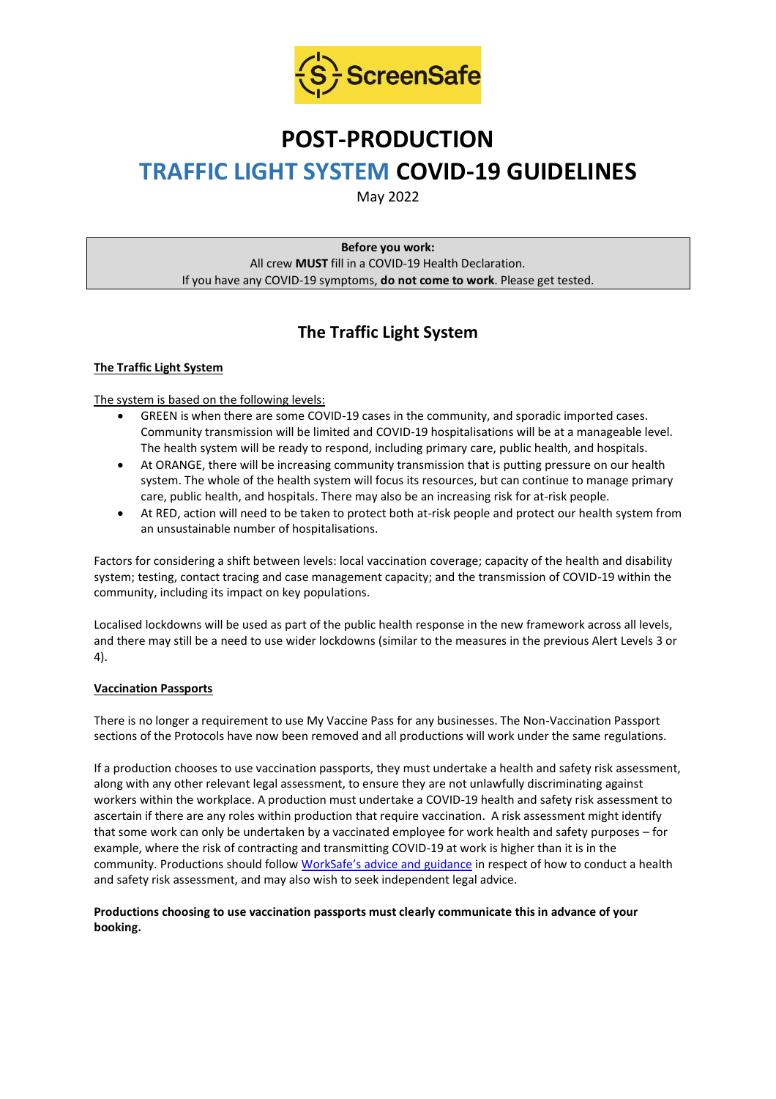

# **POST-PRODUCTION**

# **TRAFFIC LIGHT SYSTEM COVID-19 GUIDELINES**

May 2022

**Before you work:** All crew **MUST** fill in a COVID-19 Health Declaration. If you have any COVID-19 symptoms, **do not come to work**. Please get tested.

# **The Traffic Light System**

# **The Traffic Light System**

# The system is based on the following levels:

- GREEN is when there are some COVID-19 cases in the community, and sporadic imported cases. Community transmission will be limited and COVID-19 hospitalisations will be at a manageable level. The health system will be ready to respond, including primary care, public health, and hospitals.
- At ORANGE, there will be increasing community transmission that is putting pressure on our health system. The whole of the health system will focus its resources, but can continue to manage primary care, public health, and hospitals. There may also be an increasing risk for at-risk people.
- At RED, action will need to be taken to protect both at-risk people and protect our health system from an unsustainable number of hospitalisations.

Factors for considering a shift between levels: local vaccination coverage; capacity of the health and disability system; testing, contact tracing and case management capacity; and the transmission of COVID-19 within the community, including its impact on key populations.

Localised lockdowns will be used as part of the public health response in the new framework across all levels, and there may still be a need to use wider lockdowns (similar to the measures in the previous Alert Levels 3 or 4).

### **Vaccination Passports**

There is no longer a requirement to use My Vaccine Pass for any businesses. The Non-Vaccination Passport sections of the Protocols have now been removed and all productions will work under the same regulations.

If a production chooses to use vaccination passports, they must undertake a health and safety risk assessment, along with any other relevant legal assessment, to ensure they are not unlawfully discriminating against workers within the workplace. A production must undertake a COVID-19 health and safety risk assessment to ascertain if there are any roles within production that require vaccination. A risk assessment might identify that some work can only be undertaken by a vaccinated employee for work health and safety purposes – for example, where the risk of contracting and transmitting COVID-19 at work is higher than it is in the community. Productions should follow [WorkSafe's advice and guidance](https://www.worksafe.govt.nz/managing-health-and-safety/novel-coronavirus-covid/covid-19-controls-at-work/) in respect of how to conduct a health and safety risk assessment, and may also wish to seek independent legal advice.

# **Productions choosing to use vaccination passports must clearly communicate this in advance of your booking.**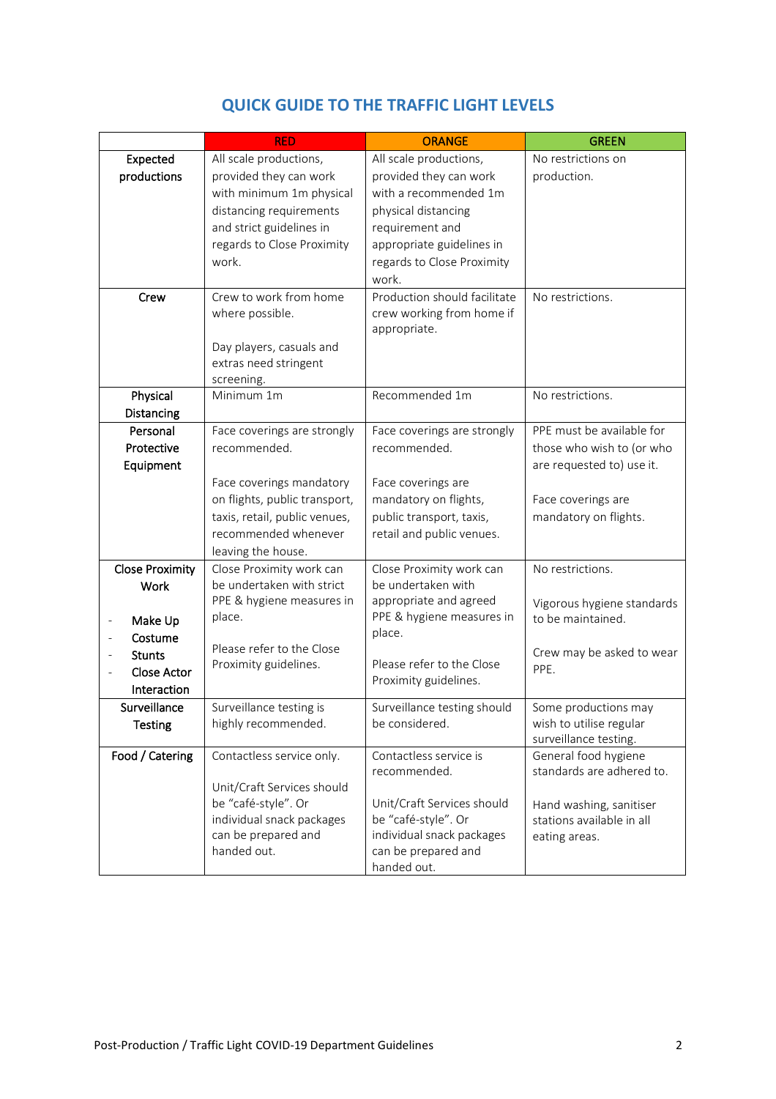|                        | <b>RED</b>                                       | <b>ORANGE</b>                                    | <b>GREEN</b>               |
|------------------------|--------------------------------------------------|--------------------------------------------------|----------------------------|
| Expected               | All scale productions,                           | All scale productions,                           | No restrictions on         |
| productions            | provided they can work                           | provided they can work                           | production.                |
|                        | with minimum 1m physical                         | with a recommended 1m                            |                            |
|                        | distancing requirements                          | physical distancing                              |                            |
|                        | and strict guidelines in                         | requirement and                                  |                            |
|                        | regards to Close Proximity                       | appropriate guidelines in                        |                            |
|                        | work.                                            | regards to Close Proximity                       |                            |
|                        |                                                  | work.                                            |                            |
| Crew                   | Crew to work from home                           | Production should facilitate                     | No restrictions.           |
|                        | where possible.                                  | crew working from home if                        |                            |
|                        |                                                  | appropriate.                                     |                            |
|                        | Day players, casuals and                         |                                                  |                            |
|                        | extras need stringent                            |                                                  |                            |
| Physical               | screening.<br>Minimum 1m                         | Recommended 1m                                   | No restrictions.           |
| Distancing             |                                                  |                                                  |                            |
| Personal               | Face coverings are strongly                      | Face coverings are strongly                      | PPE must be available for  |
| Protective             | recommended.                                     | recommended.                                     | those who wish to (or who  |
| Equipment              |                                                  |                                                  | are requested to) use it.  |
|                        | Face coverings mandatory                         | Face coverings are                               |                            |
|                        | on flights, public transport,                    | mandatory on flights,                            | Face coverings are         |
|                        | taxis, retail, public venues,                    | public transport, taxis,                         | mandatory on flights.      |
|                        | recommended whenever                             | retail and public venues.                        |                            |
|                        | leaving the house.                               |                                                  |                            |
| <b>Close Proximity</b> | Close Proximity work can                         | Close Proximity work can                         | No restrictions.           |
| Work                   | be undertaken with strict                        | be undertaken with                               |                            |
|                        | PPE & hygiene measures in                        | appropriate and agreed                           | Vigorous hygiene standards |
| Make Up                | place.                                           | PPE & hygiene measures in                        | to be maintained.          |
| Costume                |                                                  | place.                                           |                            |
| <b>Stunts</b>          | Please refer to the Close                        |                                                  | Crew may be asked to wear  |
| Close Actor            | Proximity guidelines.                            | Please refer to the Close                        | PPE.                       |
| Interaction            |                                                  | Proximity guidelines.                            |                            |
| Surveillance           | Surveillance testing is                          | Surveillance testing should                      | Some productions may       |
| <b>Testing</b>         | highly recommended.                              | be considered.                                   | wish to utilise regular    |
|                        |                                                  |                                                  | surveillance testing.      |
| Food / Catering        | Contactless service only.                        | Contactless service is                           | General food hygiene       |
|                        |                                                  | recommended.                                     | standards are adhered to.  |
|                        | Unit/Craft Services should                       |                                                  |                            |
|                        | be "café-style". Or                              | Unit/Craft Services should                       | Hand washing, sanitiser    |
|                        | individual snack packages<br>can be prepared and | be "café-style". Or<br>individual snack packages | stations available in all  |
|                        | handed out.                                      | can be prepared and                              | eating areas.              |
|                        |                                                  | handed out.                                      |                            |

# **QUICK GUIDE TO THE TRAFFIC LIGHT LEVELS**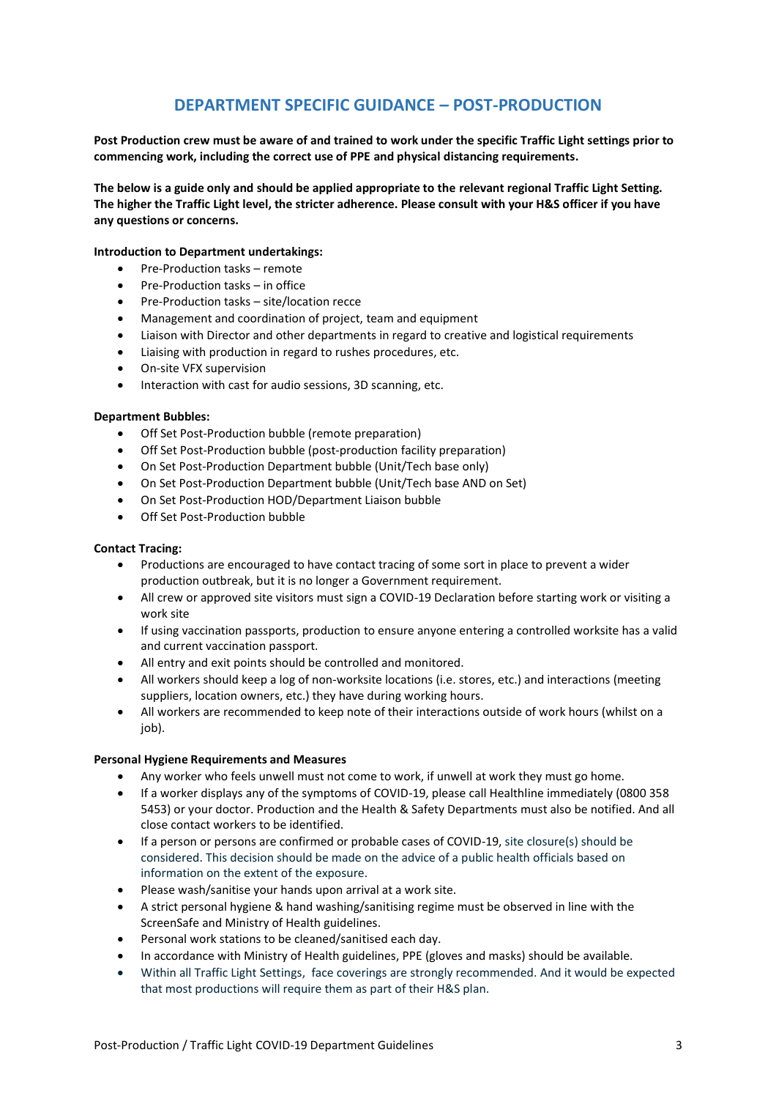# **DEPARTMENT SPECIFIC GUIDANCE – POST-PRODUCTION**

**Post Production crew must be aware of and trained to work under the specific Traffic Light settings prior to commencing work, including the correct use of PPE and physical distancing requirements.**

**The below is a guide only and should be applied appropriate to the relevant regional Traffic Light Setting. The higher the Traffic Light level, the stricter adherence. Please consult with your H&S officer if you have any questions or concerns.**

#### **Introduction to Department undertakings:**

- Pre-Production tasks remote
- Pre-Production tasks in office
- Pre-Production tasks site/location recce
- Management and coordination of project, team and equipment
- Liaison with Director and other departments in regard to creative and logistical requirements
- Liaising with production in regard to rushes procedures, etc.
- On-site VFX supervision
- Interaction with cast for audio sessions, 3D scanning, etc.

#### **Department Bubbles:**

- Off Set Post-Production bubble (remote preparation)
- Off Set Post-Production bubble (post-production facility preparation)
- On Set Post-Production Department bubble (Unit/Tech base only)
- On Set Post-Production Department bubble (Unit/Tech base AND on Set)
- On Set Post-Production HOD/Department Liaison bubble
- Off Set Post-Production bubble

### **Contact Tracing:**

- Productions are encouraged to have contact tracing of some sort in place to prevent a wider production outbreak, but it is no longer a Government requirement.
- All crew or approved site visitors must sign a COVID-19 Declaration before starting work or visiting a work site
- If using vaccination passports, production to ensure anyone entering a controlled worksite has a valid and current vaccination passport.
- All entry and exit points should be controlled and monitored.
- All workers should keep a log of non-worksite locations (i.e. stores, etc.) and interactions (meeting suppliers, location owners, etc.) they have during working hours.
- All workers are recommended to keep note of their interactions outside of work hours (whilst on a job).

### **Personal Hygiene Requirements and Measures**

- Any worker who feels unwell must not come to work, if unwell at work they must go home.
- If a worker displays any of the symptoms of COVID-19, please call Healthline immediately (0800 358 5453) or your doctor. Production and the Health & Safety Departments must also be notified. And all close contact workers to be identified.
- If a person or persons are confirmed or probable cases of COVID-19, site closure(s) should be considered. This decision should be made on the advice of a public health officials based on information on the extent of the exposure.
- Please wash/sanitise your hands upon arrival at a work site.
- A strict personal hygiene & hand washing/sanitising regime must be observed in line with the ScreenSafe and Ministry of Health guidelines.
- Personal work stations to be cleaned/sanitised each day.
- In accordance with Ministry of Health guidelines, PPE (gloves and masks) should be available.
- Within all Traffic Light Settings, face coverings are strongly recommended. And it would be expected that most productions will require them as part of their H&S plan.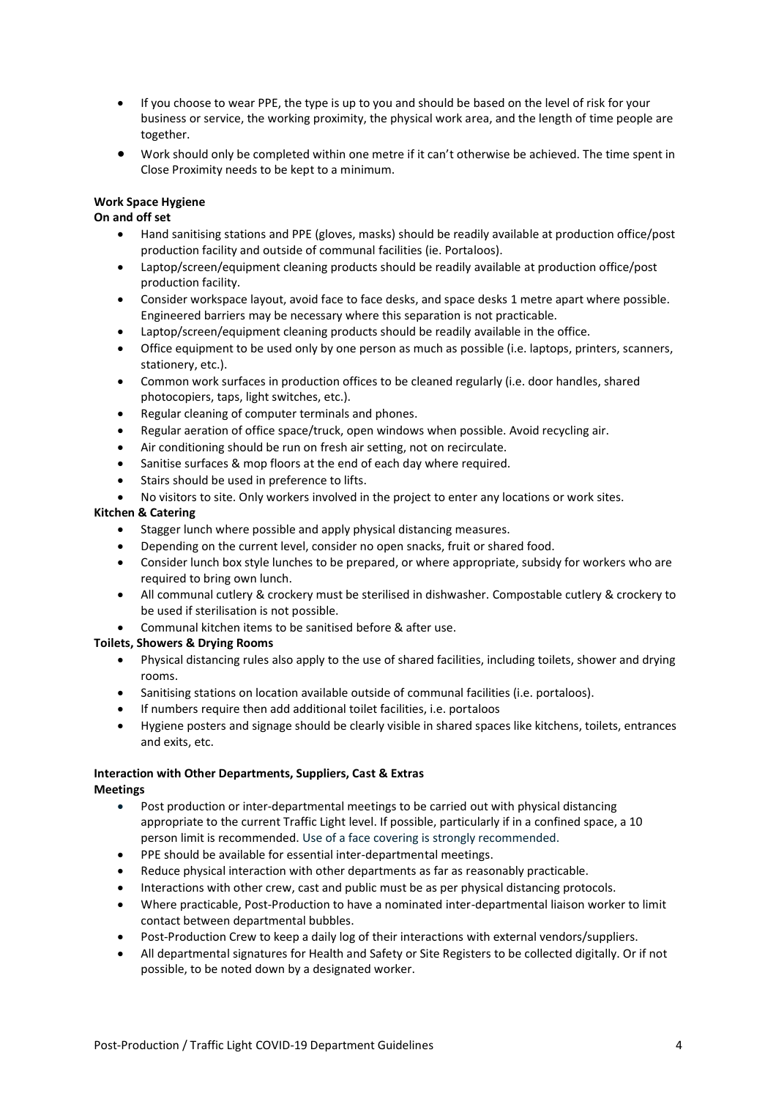- If you choose to wear PPE, the type is up to you and should be based on the level of risk for your business or service, the working proximity, the physical work area, and the length of time people are together.
- Work should only be completed within one metre if it can't otherwise be achieved. The time spent in Close Proximity needs to be kept to a minimum.

# **Work Space Hygiene**

# **On and off set**

- Hand sanitising stations and PPE (gloves, masks) should be readily available at production office/post production facility and outside of communal facilities (ie. Portaloos).
- Laptop/screen/equipment cleaning products should be readily available at production office/post production facility.
- Consider workspace layout, avoid face to face desks, and space desks 1 metre apart where possible. Engineered barriers may be necessary where this separation is not practicable.
- Laptop/screen/equipment cleaning products should be readily available in the office.
- Office equipment to be used only by one person as much as possible (i.e. laptops, printers, scanners, stationery, etc.).
- Common work surfaces in production offices to be cleaned regularly (i.e. door handles, shared photocopiers, taps, light switches, etc.).
- Regular cleaning of computer terminals and phones.
- Regular aeration of office space/truck, open windows when possible. Avoid recycling air.
- Air conditioning should be run on fresh air setting, not on recirculate.
- Sanitise surfaces & mop floors at the end of each day where required.
- Stairs should be used in preference to lifts.
- No visitors to site. Only workers involved in the project to enter any locations or work sites.

# **Kitchen & Catering**

- Stagger lunch where possible and apply physical distancing measures.
- Depending on the current level, consider no open snacks, fruit or shared food.
- Consider lunch box style lunches to be prepared, or where appropriate, subsidy for workers who are required to bring own lunch.
- All communal cutlery & crockery must be sterilised in dishwasher. Compostable cutlery & crockery to be used if sterilisation is not possible.
- Communal kitchen items to be sanitised before & after use.

### **Toilets, Showers & Drying Rooms**

- Physical distancing rules also apply to the use of shared facilities, including toilets, shower and drying rooms.
- Sanitising stations on location available outside of communal facilities (i.e. portaloos).
- If numbers require then add additional toilet facilities, i.e. portaloos
- Hygiene posters and signage should be clearly visible in shared spaces like kitchens, toilets, entrances and exits, etc.

#### **Interaction with Other Departments, Suppliers, Cast & Extras Meetings**

- Post production or inter-departmental meetings to be carried out with physical distancing appropriate to the current Traffic Light level. If possible, particularly if in a confined space, a 10 person limit is recommended. Use of a face covering is strongly recommended.
- PPE should be available for essential inter-departmental meetings.
- Reduce physical interaction with other departments as far as reasonably practicable.
- Interactions with other crew, cast and public must be as per physical distancing protocols.
- Where practicable, Post-Production to have a nominated inter-departmental liaison worker to limit contact between departmental bubbles.
- Post-Production Crew to keep a daily log of their interactions with external vendors/suppliers.
- All departmental signatures for Health and Safety or Site Registers to be collected digitally. Or if not possible, to be noted down by a designated worker.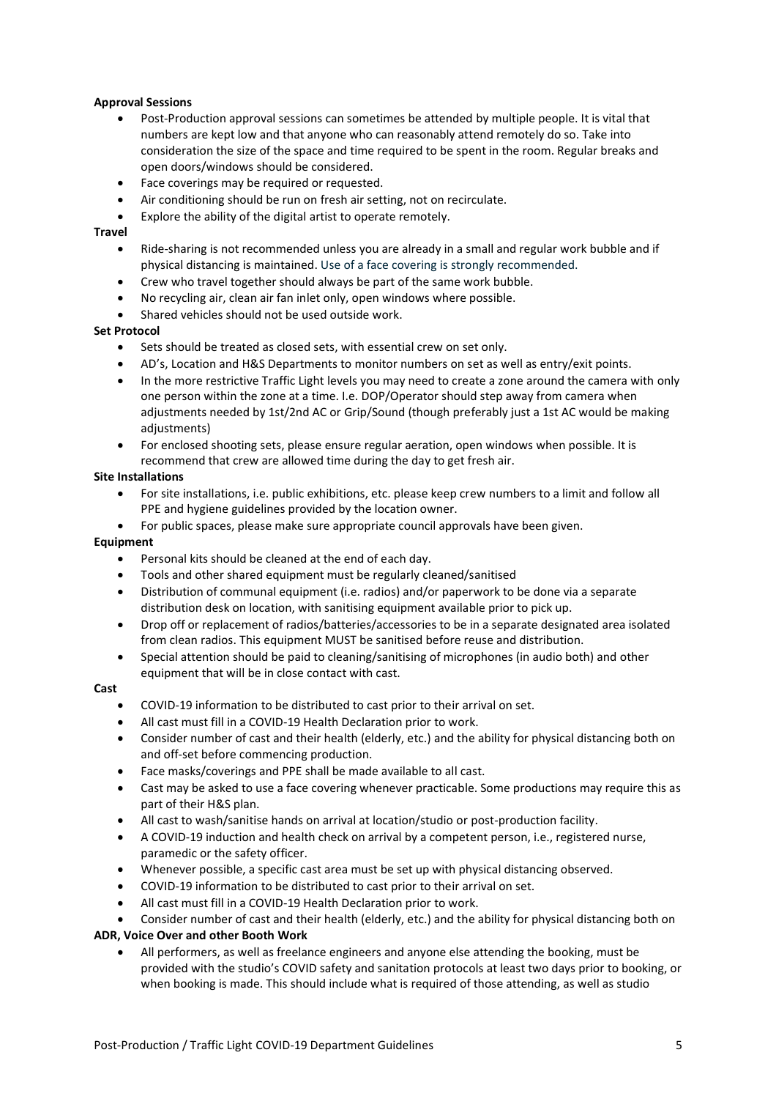# **Approval Sessions**

- Post-Production approval sessions can sometimes be attended by multiple people. It is vital that numbers are kept low and that anyone who can reasonably attend remotely do so. Take into consideration the size of the space and time required to be spent in the room. Regular breaks and open doors/windows should be considered.
- Face coverings may be required or requested.
- Air conditioning should be run on fresh air setting, not on recirculate.
- Explore the ability of the digital artist to operate remotely.

## **Travel**

- Ride-sharing is not recommended unless you are already in a small and regular work bubble and if physical distancing is maintained. Use of a face covering is strongly recommended.
- Crew who travel together should always be part of the same work bubble.
- No recycling air, clean air fan inlet only, open windows where possible.
- Shared vehicles should not be used outside work.

# **Set Protocol**

- Sets should be treated as closed sets, with essential crew on set only.
- AD's, Location and H&S Departments to monitor numbers on set as well as entry/exit points.
- In the more restrictive Traffic Light levels you may need to create a zone around the camera with only one person within the zone at a time. I.e. DOP/Operator should step away from camera when adjustments needed by 1st/2nd AC or Grip/Sound (though preferably just a 1st AC would be making adjustments)
- For enclosed shooting sets, please ensure regular aeration, open windows when possible. It is recommend that crew are allowed time during the day to get fresh air.

## **Site Installations**

- For site installations, i.e. public exhibitions, etc. please keep crew numbers to a limit and follow all PPE and hygiene guidelines provided by the location owner.
- For public spaces, please make sure appropriate council approvals have been given.

### **Equipment**

- Personal kits should be cleaned at the end of each day.
- Tools and other shared equipment must be regularly cleaned/sanitised
- Distribution of communal equipment (i.e. radios) and/or paperwork to be done via a separate distribution desk on location, with sanitising equipment available prior to pick up.
- Drop off or replacement of radios/batteries/accessories to be in a separate designated area isolated from clean radios. This equipment MUST be sanitised before reuse and distribution.
- Special attention should be paid to cleaning/sanitising of microphones (in audio both) and other equipment that will be in close contact with cast.

### **Cast**

- COVID-19 information to be distributed to cast prior to their arrival on set.
- All cast must fill in a COVID-19 Health Declaration prior to work.
- Consider number of cast and their health (elderly, etc.) and the ability for physical distancing both on and off-set before commencing production.
- Face masks/coverings and PPE shall be made available to all cast.
- Cast may be asked to use a face covering whenever practicable. Some productions may require this as part of their H&S plan.
- All cast to wash/sanitise hands on arrival at location/studio or post-production facility.
- A COVID-19 induction and health check on arrival by a competent person, i.e., registered nurse, paramedic or the safety officer.
- Whenever possible, a specific cast area must be set up with physical distancing observed.
- COVID-19 information to be distributed to cast prior to their arrival on set.
- All cast must fill in a COVID-19 Health Declaration prior to work.

• Consider number of cast and their health (elderly, etc.) and the ability for physical distancing both on

## **ADR, Voice Over and other Booth Work**

• All performers, as well as freelance engineers and anyone else attending the booking, must be provided with the studio's COVID safety and sanitation protocols at least two days prior to booking, or when booking is made. This should include what is required of those attending, as well as studio